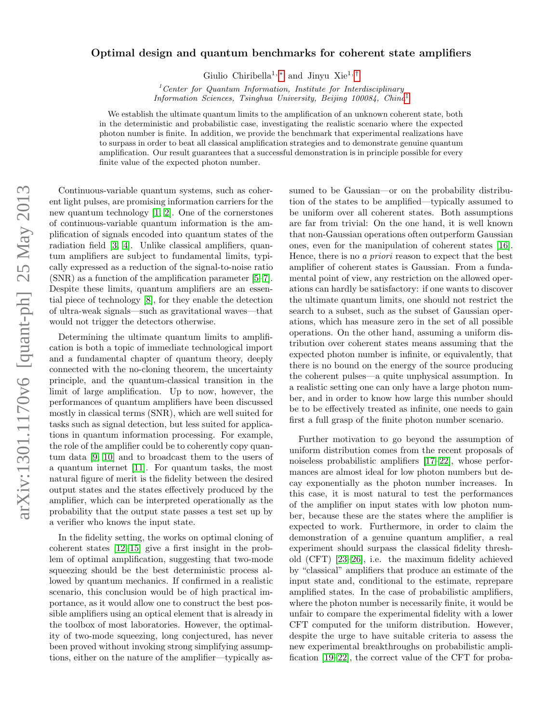## Optimal design and quantum benchmarks for coherent state amplifiers

Giulio Chiribella<sup>1, \*</sup> and Jinyu Xie<sup>1, [†](#page-3-1)</sup>

 $1$ <sup>1</sup> Center for Quantum Information, Institute for Interdisciplinary Information Sciences, Tsinghua University, Beijing 100084, China<sup>t</sup>

We establish the ultimate quantum limits to the amplification of an unknown coherent state, both in the deterministic and probabilistic case, investigating the realistic scenario where the expected photon number is finite. In addition, we provide the benchmark that experimental realizations have to surpass in order to beat all classical amplification strategies and to demonstrate genuine quantum amplification. Our result guarantees that a successful demonstration is in principle possible for every finite value of the expected photon number.

Continuous-variable quantum systems, such as coherent light pulses, are promising information carriers for the new quantum technology [\[1,](#page-3-3) [2\]](#page-3-4). One of the cornerstones of continuous-variable quantum information is the amplification of signals encoded into quantum states of the radiation field [\[3,](#page-3-5) [4\]](#page-3-6). Unlike classical amplifiers, quantum amplifiers are subject to fundamental limits, typically expressed as a reduction of the signal-to-noise ratio (SNR) as a function of the amplification parameter [\[5–](#page-4-0)[7\]](#page-4-1). Despite these limits, quantum amplifiers are an essential piece of technology [\[8\]](#page-4-2), for they enable the detection of ultra-weak signals—such as gravitational waves—that would not trigger the detectors otherwise.

Determining the ultimate quantum limits to amplification is both a topic of immediate technological import and a fundamental chapter of quantum theory, deeply connected with the no-cloning theorem, the uncertainty principle, and the quantum-classical transition in the limit of large amplification. Up to now, however, the performances of quantum amplifiers have been discussed mostly in classical terms (SNR), which are well suited for tasks such as signal detection, but less suited for applications in quantum information processing. For example, the role of the amplifier could be to coherently copy quantum data [\[9,](#page-4-3) [10\]](#page-4-4) and to broadcast them to the users of a quantum internet [\[11\]](#page-4-5). For quantum tasks, the most natural figure of merit is the fidelity between the desired output states and the states effectively produced by the amplifier, which can be interpreted operationally as the probability that the output state passes a test set up by a verifier who knows the input state.

In the fidelity setting, the works on optimal cloning of coherent states [\[12](#page-4-6)[–15\]](#page-4-7) give a first insight in the problem of optimal amplification, suggesting that two-mode squeezing should be the best deterministic process allowed by quantum mechanics. If confirmed in a realistic scenario, this conclusion would be of high practical importance, as it would allow one to construct the best possible amplifiers using an optical element that is already in the toolbox of most laboratories. However, the optimality of two-mode squeezing, long conjectured, has never been proved without invoking strong simplifying assumptions, either on the nature of the amplifier—typically assumed to be Gaussian—or on the probability distribution of the states to be amplified—typically assumed to be uniform over all coherent states. Both assumptions are far from trivial: On the one hand, it is well known that non-Gaussian operations often outperform Gaussian ones, even for the manipulation of coherent states [\[16\]](#page-4-8). Hence, there is no a priori reason to expect that the best amplifier of coherent states is Gaussian. From a fundamental point of view, any restriction on the allowed operations can hardly be satisfactory: if one wants to discover the ultimate quantum limits, one should not restrict the search to a subset, such as the subset of Gaussian operations, which has measure zero in the set of all possible operations. On the other hand, assuming a uniform distribution over coherent states means assuming that the expected photon number is infinite, or equivalently, that there is no bound on the energy of the source producing the coherent pulses—a quite unphysical assumption. In a realistic setting one can only have a large photon number, and in order to know how large this number should be to be effectively treated as infinite, one needs to gain first a full grasp of the finite photon number scenario.

Further motivation to go beyond the assumption of uniform distribution comes from the recent proposals of noiseless probabilistic amplifiers [\[17](#page-4-9)[–22\]](#page-4-10), whose performances are almost ideal for low photon numbers but decay exponentially as the photon number increases. In this case, it is most natural to test the performances of the amplifier on input states with low photon number, because these are the states where the amplifier is expected to work. Furthermore, in order to claim the demonstration of a genuine quantum amplifier, a real experiment should surpass the classical fidelity threshold (CFT) [\[23](#page-4-11)[–26\]](#page-4-12), i.e. the maximum fidelity achieved by "classical" amplifiers that produce an estimate of the input state and, conditional to the estimate, reprepare amplified states. In the case of probabilistic amplifiers, where the photon number is necessarily finite, it would be unfair to compare the experimental fidelity with a lower CFT computed for the uniform distribution. However, despite the urge to have suitable criteria to assess the new experimental breakthroughs on probabilistic amplification [\[19](#page-4-13)[–22\]](#page-4-10), the correct value of the CFT for proba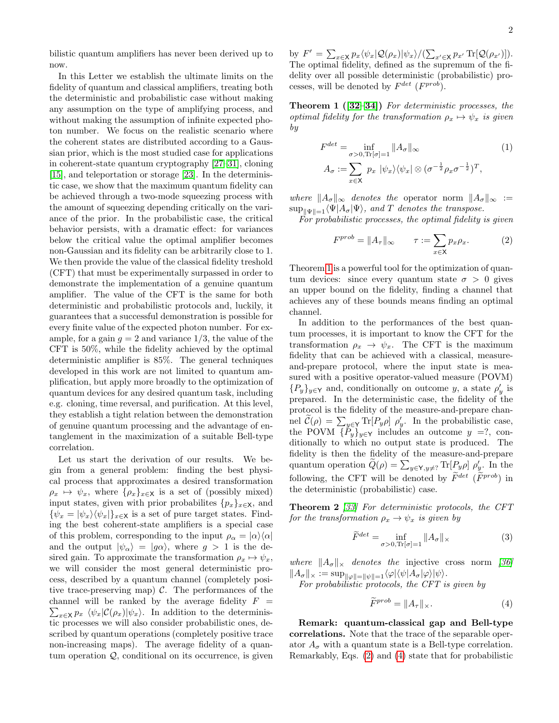bilistic quantum amplifiers has never been derived up to now.

In this Letter we establish the ultimate limits on the fidelity of quantum and classical amplifiers, treating both the deterministic and probabilistic case without making any assumption on the type of amplifying process, and without making the assumption of infinite expected photon number. We focus on the realistic scenario where the coherent states are distributed according to a Gaussian prior, which is the most studied case for applications in coherent-state quantum cryptography [\[27–](#page-4-14)[31\]](#page-4-15), cloning [\[15\]](#page-4-7), and teleportation or storage [\[23\]](#page-4-11). In the deterministic case, we show that the maximum quantum fidelity can be achieved through a two-mode squeezing process with the amount of squeezing depending critically on the variance of the prior. In the probabilistic case, the critical behavior persists, with a dramatic effect: for variances below the critical value the optimal amplifier becomes non-Gaussian and its fidelity can be arbitrarily close to 1. We then provide the value of the classical fidelity treshold (CFT) that must be experimentally surpassed in order to demonstrate the implementation of a genuine quantum amplifier. The value of the CFT is the same for both deterministic and probabilistic protocols and, luckily, it guarantees that a successful demonstration is possible for every finite value of the expected photon number. For example, for a gain  $q = 2$  and variance  $1/3$ , the value of the CFT is 50%, while the fidelity achieved by the optimal deterministic amplifier is 85%. The general techniques developed in this work are not limited to quantum amplification, but apply more broadly to the optimization of quantum devices for any desired quantum task, including e.g. cloning, time reversal, and purification. At this level, they establish a tight relation between the demonstration of genuine quantum processing and the advantage of entanglement in the maximization of a suitable Bell-type correlation.

Let us start the derivation of our results. We begin from a general problem: finding the best physical process that approximates a desired transformation  $\rho_x \mapsto \psi_x$ , where  $\{\rho_x\}_{x\in \mathsf{X}}$  is a set of (possibly mixed) input states, given with prior probabilites  $\{p_x\}_{x\in\mathsf{X}}$ , and  ${\psi_x = |\psi_x\rangle\langle\psi_x|\}_{x\in\mathsf{X}}$  is a set of pure target states. Finding the best coherent-state amplifiers is a special case of this problem, corresponding to the input  $\rho_{\alpha} = |\alpha\rangle\langle\alpha|$ and the output  $|\psi_{\alpha}\rangle = |g\alpha\rangle$ , where  $g > 1$  is the desired gain. To approximate the transformation  $\rho_x \mapsto \psi_x$ , we will consider the most general deterministic process, described by a quantum channel (completely positive trace-preserving map)  $\mathcal{C}$ . The performances of the channel will be ranked by the average fidelity  $F =$  $\sum_{x \in \mathsf{X}} p_x \langle \psi_x | \mathcal{C}(\rho_x) | \psi_x \rangle$ . In addition to the deterministic processes we will also consider probabilistic ones, described by quantum operations (completely positive trace non-increasing maps). The average fidelity of a quantum operation  $Q$ , conditional on its occurrence, is given

by  $F' = \sum_{x \in \mathsf{X}} p_x \langle \psi_x | \mathcal{Q}(\rho_x) | \psi_x \rangle / (\sum_{x' \in \mathsf{X}} p_{x'} \operatorname{Tr}[\mathcal{Q}(\rho_{x'})]).$ The optimal fidelity, defined as the supremum of the fidelity over all possible deterministic (probabilistic) processes, will be denoted by  $F^{det}$  ( $F^{prob}$ ).

<span id="page-1-0"></span>Theorem 1 ([\[32](#page-4-16)[–34\]](#page-4-17)) For deterministic processes, the optimal fidelity for the transformation  $\rho_x \mapsto \psi_x$  is given by

$$
F^{det} = \inf_{\sigma > 0, \text{Tr}[\sigma] = 1} \|A_{\sigma}\|_{\infty}
$$
  
\n
$$
A_{\sigma} := \sum_{x \in \mathsf{X}} p_x \ |\psi_x\rangle\langle\psi_x| \otimes (\sigma^{-\frac{1}{2}} \rho_x \sigma^{-\frac{1}{2}})^T,
$$
\n(1)

where  $||A_{\sigma}||_{\infty}$  denotes the operator norm  $||A_{\sigma}||_{\infty} :=$  $\sup_{\|\Psi\|=1}\langle \Psi | A_{\sigma} | \Psi \rangle$ , and T denotes the transpose.

For probabilistic processes, the optimal fidelity is given

<span id="page-1-1"></span>
$$
F^{prob} = ||A_{\tau}||_{\infty} \qquad \tau := \sum_{x \in \mathsf{X}} p_x \rho_x. \tag{2}
$$

Theorem [1](#page-1-0) is a powerful tool for the optimization of quantum devices: since every quantum state  $\sigma > 0$  gives an upper bound on the fidelity, finding a channel that achieves any of these bounds means finding an optimal channel.

In addition to the performances of the best quantum processes, it is important to know the CFT for the transformation  $\rho_x \rightarrow \psi_x$ . The CFT is the maximum fidelity that can be achieved with a classical, measureand-prepare protocol, where the input state is measured with a positive operator-valued measure (POVM)  ${P_y}_{y \in Y}$  and, conditionally on outcome y, a state  $\rho'_y$  is prepared. In the deterministic case, the fidelity of the protocol is the fidelity of the measure-and-prepare channel  $\tilde{\mathcal{C}}(\rho) = \sum_{y \in Y} \text{Tr}[P_y \rho] \rho'_y$ . In the probabilistic case, the POVM  $\{P_y\}_{y \in Y}$  includes an outcome  $y = ?$ , conditionally to which no output state is produced. The fidelity is then the fidelity of the measure-and-prepare quantum operation  $\widetilde{Q}(\rho) = \sum_{y \in \mathsf{Y}, y \neq ?} \text{Tr} [P_y \rho] \rho'_y$ . In the following, the CFT will be denoted by  $\widetilde{F}^{det}$  ( $\widetilde{F}^{prob}$ ) in the deterministic (probabilistic) case.

Theorem 2 [\[33\]](#page-4-18) For deterministic protocols, the CFT for the transformation  $\rho_x \rightarrow \psi_x$  is given by

<span id="page-1-3"></span>
$$
\widetilde{F}^{det} = \inf_{\sigma > 0, \text{Tr}[\sigma] = 1} \|A_{\sigma}\|_{\times} \tag{3}
$$

where  $||A_{\sigma}||_{\times}$  denotes the injective cross norm [\[36\]](#page-4-19)  $||A_{\sigma}||_{\times} := \sup_{\|\varphi\|=\|\psi\|=1} \langle \varphi | \langle \psi | A_{\sigma} | \varphi \rangle | \psi \rangle.$ 

For probabilistic protocols, the CFT is given by

<span id="page-1-2"></span>
$$
\widetilde{F}^{prob} = \|A_{\tau}\|_{\times}.
$$
\n(4)

Remark: quantum-classical gap and Bell-type correlations. Note that the trace of the separable operator  $A_{\sigma}$  with a quantum state is a Bell-type correlation. Remarkably, Eqs. [\(2\)](#page-1-1) and [\(4\)](#page-1-2) state that for probabilistic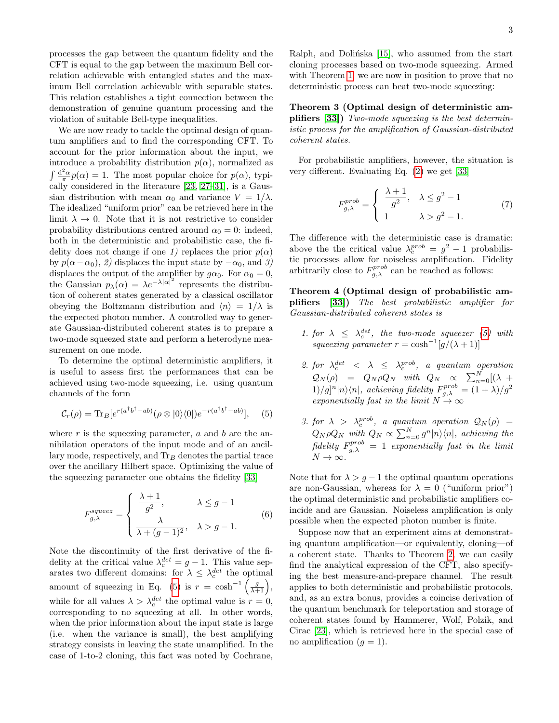processes the gap between the quantum fidelity and the CFT is equal to the gap between the maximum Bell correlation achievable with entangled states and the maximum Bell correlation achievable with separable states. This relation establishes a tight connection between the demonstration of genuine quantum processing and the violation of suitable Bell-type inequalities.

We are now ready to tackle the optimal design of quantum amplifiers and to find the corresponding CFT. To account for the prior information about the input, we introduce a probability distribution  $p(\alpha)$ , normalized as  $\int \frac{d^2\alpha}{\pi} p(\alpha) = 1$ . The most popular choice for  $p(\alpha)$ , typically considered in the literature [\[23,](#page-4-11) [27–](#page-4-14)[31\]](#page-4-15), is a Gaussian distribution with mean  $\alpha_0$  and variance  $V = 1/\lambda$ . The idealized "uniform prior" can be retrieved here in the limit  $\lambda \to 0$ . Note that it is not restrictive to consider probability distributions centred around  $\alpha_0 = 0$ : indeed, both in the deterministic and probabilistic case, the fidelity does not change if one 1) replaces the prior  $p(\alpha)$ by  $p(\alpha-\alpha_0)$ , 2) displaces the input state by  $-\alpha_0$ , and 3) displaces the output of the amplifier by  $g\alpha_0$ . For  $\alpha_0 = 0$ , the Gaussian  $p_{\lambda}(\alpha) = \lambda e^{-\lambda |\alpha|^2}$  represents the distribution of coherent states generated by a classical oscillator obeying the Boltzmann distribution and  $\langle n \rangle = 1/\lambda$  is the expected photon number. A controlled way to generate Gaussian-distributed coherent states is to prepare a two-mode squeezed state and perform a heterodyne measurement on one mode.

To determine the optimal deterministic amplifiers, it is useful to assess first the performances that can be achieved using two-mode squeezing, i.e. using quantum channels of the form

$$
\mathcal{C}_r(\rho) = \text{Tr}_B[e^{r(a^\dagger b^\dagger - ab)}(\rho \otimes |0\rangle\langle 0|)e^{-r(a^\dagger b^\dagger - ab)}], \quad (5)
$$

where r is the squeezing parameter,  $a$  and  $b$  are the annihilation operators of the input mode and of an ancillary mode, respectively, and  $Tr_B$  denotes the partial trace over the ancillary Hilbert space. Optimizing the value of the squeezing parameter one obtains the fidelity [\[33\]](#page-4-18)

<span id="page-2-1"></span>
$$
F_{g,\lambda}^{square} = \begin{cases} \frac{\lambda+1}{g^2}, & \lambda \le g-1\\ \frac{\lambda}{\lambda+(g-1)^2}, & \lambda > g-1. \end{cases}
$$
 (6)

Note the discontinuity of the first derivative of the fidelity at the critical value  $\lambda_c^{det} = g - 1$ . This value separates two different domains: for  $\lambda \leq \lambda_c^{det}$  the optimal amount of squeezing in Eq. [\(5\)](#page-2-0) is  $r = \cosh^{-1}\left(\frac{g}{\lambda+1}\right)$ , while for all values  $\lambda > \lambda_c^{det}$  the optimal value is  $r = 0$ , corresponding to no squeezing at all. In other words, when the prior information about the input state is large (i.e. when the variance is small), the best amplifying strategy consists in leaving the state unamplified. In the case of 1-to-2 cloning, this fact was noted by Cochrane,

Ralph, and Dolińska  $[15]$ , who assumed from the start cloning processes based on two-mode squeezing. Armed with Theorem [1,](#page-1-0) we are now in position to prove that no deterministic process can beat two-mode squeezing:

Theorem 3 (Optimal design of deterministic amplifiers [\[33\]](#page-4-18)) Two-mode squeezing is the best deterministic process for the amplification of Gaussian-distributed coherent states.

For probabilistic amplifiers, however, the situation is very different. Evaluating Eq. [\(2\)](#page-1-1) we get [\[33\]](#page-4-18)

$$
F_{g,\lambda}^{prob} = \begin{cases} \frac{\lambda+1}{g^2}, & \lambda \le g^2 - 1\\ 1 & \lambda > g^2 - 1. \end{cases}
$$
 (7)

The difference with the deterministic case is dramatic: above the the critical value  $\lambda_c^{prob} = g^2 - 1$  probabilistic processes allow for noiseless amplification. Fidelity arbitrarily close to  $F_{g,\lambda}^{prob}$  can be reached as follows:

Theorem 4 (Optimal design of probabilistic amplifiers [\[33\]](#page-4-18)) The best probabilistic amplifier for Gaussian-distributed coherent states is

- 1. for  $\lambda \leq \lambda_c^{det}$ , the two-mode squeezer [\(5\)](#page-2-0) with squeezing parameter  $r = \cosh^{-1}[g/(\lambda+1)]$
- 2. for  $\lambda_c^{det} < \lambda \leq \lambda_c^{prob}$ , a quantum operation  $\mathcal{Q}_N(\rho) = Q_N \rho Q_N$  with  $Q_N \propto \sum_{n=0}^N [(\lambda +$  $(1)/g]^n|n\rangle\langle n|$ , achieving fidelity  $F_{g,\lambda}^{prob} = (1+\lambda)/g^2$ exponentially fast in the limit  $N \to \infty$
- <span id="page-2-0"></span>3. for  $\lambda > \lambda_c^{prob}$ , a quantum operation  $\mathcal{Q}_N(\rho)$  =  $Q_N \rho Q_N$  with  $Q_N \propto \sum_{n=0}^N g^n |n\rangle\langle n|$ , achieving the fidelity  $F^{prob}_{g,\lambda} = 1$  exponentially fast in the limit  $N \to \infty$ .

Note that for  $\lambda > g - 1$  the optimal quantum operations are non-Gaussian, whereas for  $\lambda = 0$  ("uniform prior") the optimal deterministic and probabilistic amplifiers coincide and are Gaussian. Noiseless amplification is only possible when the expected photon number is finite.

Suppose now that an experiment aims at demonstrating quantum amplification—or equivalently, cloning—of a coherent state. Thanks to Theorem [2,](#page-1-3) we can easily find the analytical expression of the CFT, also specifying the best measure-and-prepare channel. The result applies to both deterministic and probabilistic protocols, and, as an extra bonus, provides a coincise derivation of the quantum benchmark for teleportation and storage of coherent states found by Hammerer, Wolf, Polzik, and Cirac [\[23\]](#page-4-11), which is retrieved here in the special case of no amplification  $(g = 1)$ .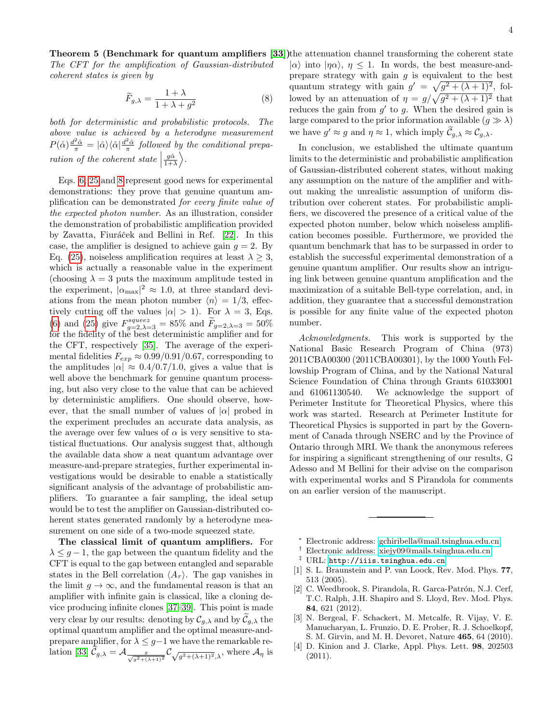**Theorem 5 (Benchmark for quantum amplifiers [\[33\]](#page-4-18))** the attenuation channel transforming the coherent state The CFT for the amplification of Gaussian-distributed coherent states is given by

<span id="page-3-7"></span>
$$
\widetilde{F}_{g,\lambda} = \frac{1+\lambda}{1+\lambda+g^2} \tag{8}
$$

both for deterministic and probabilistic protocols. The above value is achieved by a heterodyne measurement  $P(\hat{\alpha})\frac{d^2\hat{\alpha}}{\pi} = |\hat{\alpha}\rangle\langle\hat{\alpha}| \frac{d^2\hat{\alpha}}{\pi}$  followed by the conditional prepa- $\left| \begin{array}{c} \text{ratio}\ \text{of}\ \text{the}\ \text{coherent}\ \text{state} \end{array} \right|$  $\frac{g\hat{\alpha}}{1+\lambda}$ .

Eqs. [6,](#page-2-1) [25](#page-9-0) and [8](#page-3-7) represent good news for experimental demonstrations: they prove that genuine quantum amplification can be demonstrated for every finite value of the expected photon number. As an illustration, consider the demonstration of probabilistic amplification provided by Zavatta, Fiuráček and Bellini in Ref. [\[22\]](#page-4-10). In this case, the amplifier is designed to achieve gain  $g = 2$ . By Eq. [\(25\)](#page-9-0), noiseless amplification requires at least  $\lambda \geq 3$ , which is actually a reasonable value in the experiment (choosing  $\lambda = 3$  puts the maximum amplitude tested in the experiment,  $|\alpha_{\text{max}}|^2 \approx 1.0$ , at three standard deviations from the mean photon number  $\langle n \rangle = 1/3$ , effectively cutting off the values  $|\alpha| > 1$ ). For  $\lambda = 3$ , Eqs. [\(6\)](#page-2-1) and [\(25\)](#page-9-0) give  $F_{g=2,\lambda=3}^{square}=85\%$  and  $\widetilde{F}_{g=2,\lambda=3}=50\%$ for the fidelity of the best deterministic amplifier and for the CFT, respectively [\[35\]](#page-4-20). The average of the experimental fidelities  $F_{exp} \approx 0.99/0.91/0.67$ , corresponding to the amplitudes  $|\alpha| \approx 0.4/0.7/1.0$ , gives a value that is well above the benchmark for genuine quantum processing, but also very close to the value that can be achieved by deterministic amplifiers. One should observe, however, that the small number of values of  $|\alpha|$  probed in the experiment precludes an accurate data analysis, as the average over few values of  $\alpha$  is very sensitive to statistical fluctuations. Our analysis suggest that, although the available data show a neat quantum advantage over measure-and-prepare strategies, further experimental investigations would be desirable to enable a statistically significant analysis of the advantage of probabilistic amplifiers. To guarantee a fair sampling, the ideal setup would be to test the amplifier on Gaussian-distributed coherent states generated randomly by a heterodyne measurement on one side of a two-mode squeezed state.

The classical limit of quantum amplifiers. For  $\lambda \leq g-1$ , the gap between the quantum fidelity and the CFT is equal to the gap between entangled and separable states in the Bell correlation  $\langle A_\tau \rangle$ . The gap vanishes in the limit  $q \to \infty$ , and the fundamental reason is that an amplifier with infinite gain is classical, like a cloning device producing infinite clones [\[37](#page-4-21)[–39\]](#page-4-22). This point is made very clear by our results: denoting by  $\mathcal{C}_{g,\lambda}$  and by  $\mathcal{C}_{g,\lambda}$  the optimal quantum amplifier and the optimal measure-andprepare amplifier, for  $\lambda \leq g-1$  we have the remarkable re-lation [\[33\]](#page-4-18)  $\widetilde{C}_{g,\lambda} = \mathcal{A}_{\frac{g}{\sqrt{g^2 + (\lambda + 1)^2}}} C_{\sqrt{g^2 + (\lambda + 1)^2},\lambda}$ , where  $\mathcal{A}_{\eta}$  is

 $|\alpha\rangle$  into  $|\eta\alpha\rangle$ ,  $\eta \leq 1$ . In words, the best measure-andprepare strategy with gain  $g$  is equivalent to the best quantum strategy with gain  $g' = \sqrt{g^2 + (\lambda + 1)^2}$ , followed by an attenuation of  $\eta = g/\sqrt{g^2 + (\lambda + 1)^2}$  that reduces the gain from  $g'$  to  $g$ . When the desired gain is large compared to the prior information available  $(g \gg \lambda)$ we have  $g' \approx g$  and  $\eta \approx 1$ , which imply  $\widetilde{C}_{g,\lambda} \approx C_{g,\lambda}$ .

In conclusion, we established the ultimate quantum limits to the deterministic and probabilistic amplification of Gaussian-distributed coherent states, without making any assumption on the nature of the amplifier and without making the unrealistic assumption of uniform distribution over coherent states. For probabilistic amplifiers, we discovered the presence of a critical value of the expected photon number, below which noiseless amplification becomes possible. Furthermore, we provided the quantum benchmark that has to be surpassed in order to establish the successful experimental demonstration of a genuine quantum amplifier. Our results show an intriguing link between genuine quantum amplification and the maximization of a suitable Bell-type correlation, and, in addition, they guarantee that a successful demonstration is possible for any finite value of the expected photon number.

Acknowledgments. This work is supported by the National Basic Research Program of China (973) 2011CBA00300 (2011CBA00301), by the 1000 Youth Fellowship Program of China, and by the National Natural Science Foundation of China through Grants 61033001 and 61061130540. We acknowledge the support of Perimeter Institute for Theoretical Physics, where this work was started. Research at Perimeter Institute for Theoretical Physics is supported in part by the Government of Canada through NSERC and by the Province of Ontario through MRI. We thank the anonymous referees for inspiring a significant strengthening of our results, G Adesso and M Bellini for their advise on the comparison with experimental works and S Pirandola for comments on an earlier version of the manuscript.

- <span id="page-3-0"></span><sup>∗</sup> Electronic address: [gchiribella@mail.tsinghua.edu.cn](mailto:gchiribella@mail.tsinghua.edu.cn)
- <span id="page-3-1"></span>† Electronic address: [xiejy09@mails.tsinghua.edu.cn](mailto:xiejy09@mails.tsinghua.edu.cn)
- <span id="page-3-2"></span>‡ URL: <http://iiis.tsinghua.edu.cn>
- <span id="page-3-3"></span>[1] S. L. Braunstein and P. van Loock, Rev. Mod. Phys. 77, 513 (2005).
- <span id="page-3-4"></span>[2] C. Weedbrook, S. Pirandola, R. Garca-Patrón, N.J. Cerf, T.C. Ralph, J.H. Shapiro and S. Lloyd, Rev. Mod. Phys. 84, 621 (2012).
- <span id="page-3-5"></span>[3] N. Bergeal, F. Schackert, M. Metcalfe, R. Vijay, V. E. Manucharyan, L. Frunzio, D. E. Prober, R. J. Schoelkopf, S. M. Girvin, and M. H. Devoret, Nature 465, 64 (2010).
- <span id="page-3-6"></span>[4] D. Kinion and J. Clarke, Appl. Phys. Lett. 98, 202503 (2011).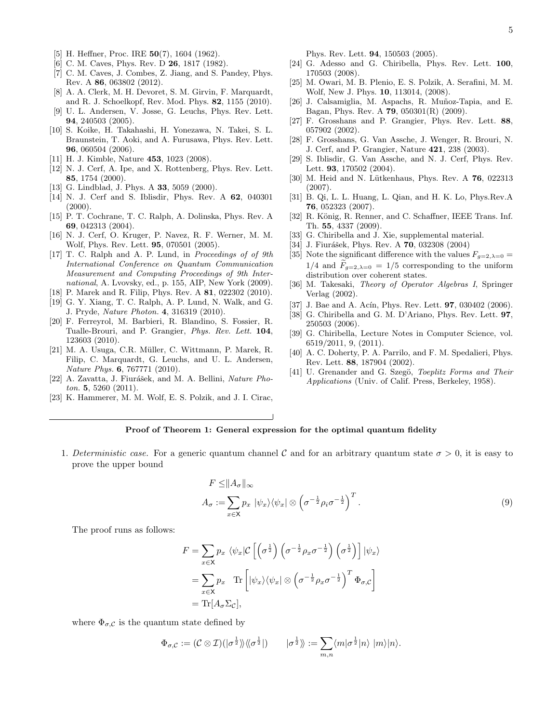- <span id="page-4-0"></span>[5] H. Heffner, Proc. IRE **50**(7), 1604 (1962).
- [6] C. M. Caves, Phys. Rev. D 26, 1817 (1982).
- <span id="page-4-1"></span>[7] C. M. Caves, J. Combes, Z. Jiang, and S. Pandey, Phys. Rev. A 86, 063802 (2012).
- <span id="page-4-2"></span>[8] A. A. Clerk, M. H. Devoret, S. M. Girvin, F. Marquardt, and R. J. Schoelkopf, Rev. Mod. Phys. 82, 1155 (2010).
- <span id="page-4-3"></span>[9] U. L. Andersen, V. Josse, G. Leuchs, Phys. Rev. Lett. 94, 240503 (2005).
- <span id="page-4-4"></span>[10] S. Koike, H. Takahashi, H. Yonezawa, N. Takei, S. L. Braunstein, T. Aoki, and A. Furusawa, Phys. Rev. Lett. 96, 060504 (2006).
- <span id="page-4-5"></span>[11] H. J. Kimble, Nature 453, 1023 (2008).
- <span id="page-4-6"></span>[12] N. J. Cerf, A. Ipe, and X. Rottenberg, Phys. Rev. Lett. 85, 1754 (2000).
- [13] G. Lindblad, J. Phys. A **33**, 5059 (2000).
- [14] N. J. Cerf and S. Iblisdir, Phys. Rev. A 62, 040301  $(2000).$
- <span id="page-4-7"></span>[15] P. T. Cochrane, T. C. Ralph, A. Dolinska, Phys. Rev. A 69, 042313 (2004).
- <span id="page-4-8"></span>[16] N. J. Cerf, O. Kruger, P. Navez, R. F. Werner, M. M. Wolf, Phys. Rev. Lett. 95, 070501 (2005).
- <span id="page-4-9"></span>[17] T. C. Ralph and A. P. Lund, in Proceedings of of 9th International Conference on Quantum Communication Measurement and Computing Proceedings of 9th International, A. Lvovsky, ed., p. 155, AIP, New York (2009).
- [18] P. Marek and R. Filip, Phys. Rev. A **81**, 022302 (2010).
- <span id="page-4-13"></span>[19] G. Y. Xiang, T. C. Ralph, A. P. Lund, N. Walk, and G. J. Pryde, Nature Photon. 4, 316319 (2010).
- [20] F. Ferreyrol, M. Barbieri, R. Blandino, S. Fossier, R. Tualle-Brouri, and P. Grangier, Phys. Rev. Lett. 104, 123603 (2010).
- [21] M. A. Usuga, C.R. Müller, C. Wittmann, P. Marek, R. Filip, C. Marquardt, G. Leuchs, and U. L. Andersen, Nature Phys. 6, 767771 (2010).
- <span id="page-4-10"></span>[22] A. Zavatta, J. Fiurášek, and M. A. Bellini, Nature Photon. 5, 5260 (2011).
- <span id="page-4-11"></span>[23] K. Hammerer, M. M. Wolf, E. S. Polzik, and J. I. Cirac,

Phys. Rev. Lett. 94, 150503 (2005).

- [24] G. Adesso and G. Chiribella, Phys. Rev. Lett. 100, 170503 (2008).
- [25] M. Owari, M. B. Plenio, E. S. Polzik, A. Serafini, M. M. Wolf, New J. Phys. 10, 113014, (2008).
- <span id="page-4-12"></span>[26] J. Calsamiglia, M. Aspachs, R. Muñoz-Tapia, and E. Bagan, Phys. Rev. A 79, 050301(R) (2009).
- <span id="page-4-14"></span>[27] F. Grosshans and P. Grangier, Phys. Rev. Lett. 88, 057902 (2002).
- [28] F. Grosshans, G. Van Assche, J. Wenger, R. Brouri, N. J. Cerf, and P. Grangier, Nature 421, 238 (2003).
- [29] S. Iblisdir, G. Van Assche, and N. J. Cerf, Phys. Rev. Lett. 93, 170502 (2004).
- [30] M. Heid and N. Lütkenhaus, Phys. Rev. A **76**, 022313 (2007).
- <span id="page-4-15"></span>[31] B. Qi, L. L. Huang, L. Qian, and H. K. Lo, Phys.Rev.A 76, 052323 (2007).
- <span id="page-4-16"></span>[32] R. König, R. Renner, and C. Schaffner, IEEE Trans. Inf. Th. 55, 4337 (2009).
- <span id="page-4-18"></span>[33] G. Chiribella and J. Xie, supplemental material.
- <span id="page-4-17"></span>[34] J. Fiurášek, Phys. Rev. A  $70$ , 032308 (2004)
- <span id="page-4-20"></span>[35] Note the significant difference with the values  $F_{g=2,\lambda=0}$  =  $1/4$  and  $F_{g=2, \lambda=0} = 1/5$  corresponding to the uniform distribution over coherent states.
- <span id="page-4-19"></span>[36] M. Takesaki, Theory of Operator Algebras I, Springer Verlag (2002).
- <span id="page-4-21"></span>[37] J. Bae and A. Acín, Phys. Rev. Lett.  $97, 030402$  (2006).
- [38] G. Chiribella and G. M. D'Ariano, Phys. Rev. Lett. 97, 250503 (2006).
- <span id="page-4-22"></span>[39] G. Chiribella, Lecture Notes in Computer Science, vol. 6519/2011, 9, (2011).
- <span id="page-4-24"></span>[40] A. C. Doherty, P. A. Parrilo, and F. M. Spedalieri, Phys. Rev. Lett. 88, 187904 (2002).
- <span id="page-4-25"></span><span id="page-4-23"></span>[41] U. Grenander and G. Szegö, Toeplitz Forms and Their Applications (Univ. of Calif. Press, Berkeley, 1958).

### Proof of Theorem 1: General expression for the optimal quantum fidelity

1. Deterministic case. For a generic quantum channel C and for an arbitrary quantum state  $\sigma > 0$ , it is easy to prove the upper bound

$$
F \le ||A_{\sigma}||_{\infty}
$$
  
\n
$$
A_{\sigma} := \sum_{x \in \mathsf{X}} p_x \ |\psi_x\rangle\langle\psi_x| \otimes \left(\sigma^{-\frac{1}{2}} \rho_i \sigma^{-\frac{1}{2}}\right)^T.
$$
\n(9)

The proof runs as follows:

$$
F = \sum_{x \in \mathsf{X}} p_x \langle \psi_x | \mathcal{C} \left[ \left( \sigma^{\frac{1}{2}} \right) \left( \sigma^{-\frac{1}{2}} \rho_x \sigma^{-\frac{1}{2}} \right) \left( \sigma^{\frac{1}{2}} \right) \right] | \psi_x \rangle
$$
  
= 
$$
\sum_{x \in \mathsf{X}} p_x \operatorname{Tr} \left[ | \psi_x \rangle \langle \psi_x | \otimes \left( \sigma^{-\frac{1}{2}} \rho_x \sigma^{-\frac{1}{2}} \right)^T \Phi_{\sigma, \mathcal{C}} \right]
$$
  
= 
$$
\operatorname{Tr} [A_{\sigma} \Sigma_{\mathcal{C}}],
$$

where  $\Phi_{\sigma,C}$  is the quantum state defined by

$$
\Phi_{\sigma,C} := (\mathcal{C} \otimes \mathcal{I})(|\sigma^{\frac{1}{2}}\rangle\hspace{-0.05cm}\rangle\langle\hspace{-0.04cm}\langle \sigma^{\frac{1}{2}}|) \qquad |\sigma^{\frac{1}{2}}\rangle\hspace{-0.04cm}\rangle := \sum_{m,n} \langle m|\sigma^{\frac{1}{2}}|n\rangle \;|m\rangle|n\rangle.
$$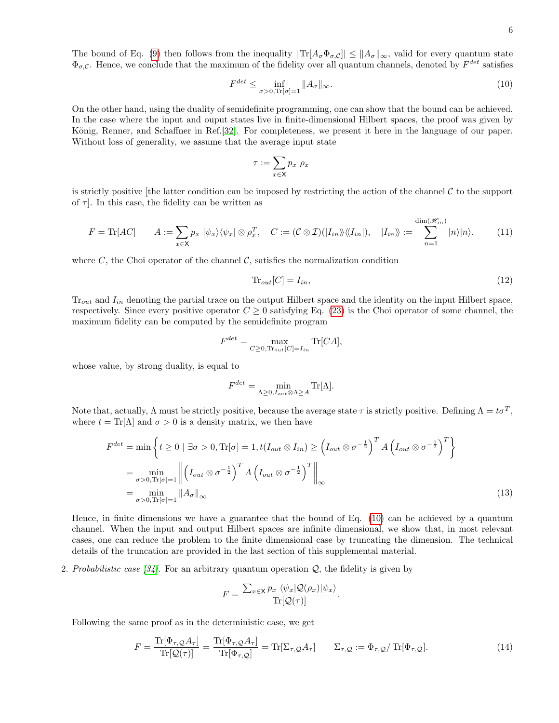The bound of Eq. [\(9\)](#page-4-23) then follows from the inequality  $|\text{Tr}[A_{\sigma}\Phi_{\sigma,c}]| \leq \|A_{\sigma}\|_{\infty}$ , valid for every quantum state  $\Phi_{\sigma,C}$ . Hence, we conclude that the maximum of the fidelity over all quantum channels, denoted by  $F^{det}$  satisfies

$$
F^{det} \le \inf_{\sigma > 0, \text{Tr}[\sigma] = 1} \|A_{\sigma}\|_{\infty}.\tag{10}
$$

On the other hand, using the duality of semidefinite programming, one can show that the bound can be achieved. In the case where the input and ouput states live in finite-dimensional Hilbert spaces, the proof was given by König, Renner, and Schaffner in Ref.[\[32\]](#page-4-16). For completeness, we present it here in the language of our paper. Without loss of generality, we assume that the average input state

<span id="page-5-0"></span>
$$
\tau := \sum_{x \in \mathsf{X}} p_x \, \, \rho_x
$$

is strictly positive [the latter condition can be imposed by restricting the action of the channel  $\mathcal C$  to the support of  $\tau$ . In this case, the fidelity can be written as

$$
F = \text{Tr}[AC] \qquad A := \sum_{x \in \mathsf{X}} p_x \, |\psi_x\rangle\langle\psi_x| \otimes \rho_x^T, \quad C := (\mathcal{C} \otimes \mathcal{I})(|I_{in}\rangle\langle\langle I_{in}|), \quad |I_{in}\rangle := \sum_{n=1}^{\dim(\mathcal{H}_{in})} |n\rangle|n\rangle. \tag{11}
$$

where  $C$ , the Choi operator of the channel  $C$ , satisfies the normalization condition

$$
\text{Tr}_{out}[C] = I_{in},\tag{12}
$$

 $Tr_{out}$  and  $I_{in}$  denoting the partial trace on the output Hilbert space and the identity on the input Hilbert space, respectively. Since every positive operator  $C \geq 0$  satisfying Eq. [\(23\)](#page-8-0) is the Choi operator of some channel, the maximum fidelity can be computed by the semidefinite program

$$
F^{det} = \max_{C \ge 0, \text{Tr}_{out}[C] = I_{in}} \text{Tr}[CA],
$$

whose value, by strong duality, is equal to

$$
F^{det} = \min_{\Lambda \ge 0, I_{out} \otimes \Lambda \ge A} \text{Tr}[\Lambda].
$$

Note that, actually,  $\Lambda$  must be strictly positive, because the average state  $\tau$  is strictly positive. Defining  $\Lambda = t\sigma^T$ , where  $t = \text{Tr}[\Lambda]$  and  $\sigma > 0$  is a density matrix, we then have

$$
F^{det} = \min \left\{ t \ge 0 \mid \exists \sigma > 0, \text{Tr}[\sigma] = 1, t(I_{out} \otimes I_{in}) \ge \left(I_{out} \otimes \sigma^{-\frac{1}{2}}\right)^T A \left(I_{out} \otimes \sigma^{-\frac{1}{2}}\right)^T \right\}
$$
  
\n
$$
= \min_{\sigma > 0, \text{Tr}[\sigma] = 1} \left\| \left(I_{out} \otimes \sigma^{-\frac{1}{2}}\right)^T A \left(I_{out} \otimes \sigma^{-\frac{1}{2}}\right)^T \right\|_{\infty}
$$
  
\n
$$
= \min_{\sigma > 0, \text{Tr}[\sigma] = 1} \|A_{\sigma}\|_{\infty}
$$
\n(13)

Hence, in finite dimensions we have a guarantee that the bound of Eq. [\(10\)](#page-5-0) can be achieved by a quantum channel. When the input and output Hilbert spaces are infinite dimensional, we show that, in most relevant cases, one can reduce the problem to the finite dimensional case by truncating the dimension. The technical details of the truncation are provided in the last section of this supplemental material.

2. Probabilistic case  $\beta$ 4. For an arbitrary quantum operation Q, the fidelity is given by

<span id="page-5-1"></span>
$$
F = \frac{\sum_{x \in \mathbf{X}} p_x \langle \psi_x | \mathcal{Q}(\rho_x) | \psi_x \rangle}{\text{Tr}[\mathcal{Q}(\tau)]}.
$$

Following the same proof as in the deterministic case, we get

$$
F = \frac{\text{Tr}[\Phi_{\tau,Q}A_{\tau}]}{\text{Tr}[\mathcal{Q}(\tau)]} = \frac{\text{Tr}[\Phi_{\tau,Q}A_{\tau}]}{\text{Tr}[\Phi_{\tau,Q}]} = \text{Tr}[\Sigma_{\tau,Q}A_{\tau}] \qquad \Sigma_{\tau,Q} := \Phi_{\tau,Q}/\text{Tr}[\Phi_{\tau,Q}].
$$
\n(14)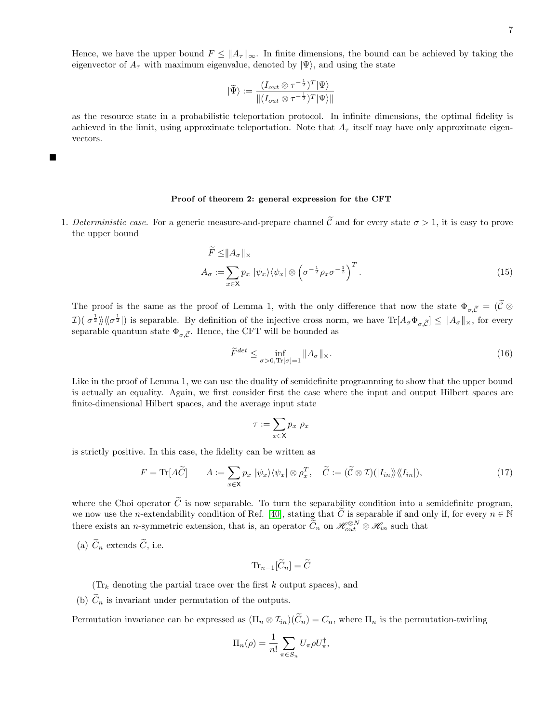Hence, we have the upper bound  $F \leq ||A_\tau||_\infty$ . In finite dimensions, the bound can be achieved by taking the eigenvector of  $A_{\tau}$  with maximum eigenvalue, denoted by  $|\Psi\rangle$ , and using the state

$$
|\widetilde{\Psi}\rangle:=\frac{(I_{out}\otimes\tau^{-\frac{1}{2}})^T|\Psi\rangle}{\|(I_{out}\otimes\tau^{-\frac{1}{2}})^T|\Psi\rangle\|}
$$

as the resource state in a probabilistic teleportation protocol. In infinite dimensions, the optimal fidelity is achieved in the limit, using approximate teleportation. Note that  $A<sub>\tau</sub>$  itself may have only approximate eigenvectors.

### Proof of theorem 2: general expression for the CFT

1. Deterministic case. For a generic measure-and-prepare channel  $\tilde{\mathcal{C}}$  and for every state  $\sigma > 1$ , it is easy to prove the upper bound

$$
\overline{F} \le ||A_{\sigma}||_{\times} \nA_{\sigma} := \sum_{x \in \mathsf{X}} p_x \ |\psi_x\rangle\langle\psi_x| \otimes \left(\sigma^{-\frac{1}{2}} \rho_x \sigma^{-\frac{1}{2}}\right)^T.
$$
\n(15)

The proof is the same as the proof of Lemma 1, with the only difference that now the state  $\Phi_{\sigma \tilde{C}} = (\tilde{C} \otimes$  $\mathcal{I}(|\sigma^{\frac{1}{2}})\rangle\langle\langle\sigma^{\frac{1}{2}}|\rangle$  is separable. By definition of the injective cross norm, we have  $\text{Tr}[A_{\sigma}\Phi_{\sigma,\tilde{C}}] \leq \|A_{\sigma}\|_{\times}$ , for every separable quantum state  $\Phi_{\sigma \tilde{\sigma}}$ . Hence, the CFT will be bounded as

<span id="page-6-0"></span>
$$
\widetilde{F}^{det} \le \inf_{\sigma > 0, \text{Tr}[\sigma] = 1} \|A_{\sigma}\|_{\times}.\tag{16}
$$

Like in the proof of Lemma 1, we can use the duality of semidefinite programming to show that the upper bound is actually an equality. Again, we first consider first the case where the input and output Hilbert spaces are finite-dimensional Hilbert spaces, and the average input state

$$
\tau := \sum_{x \in \mathsf{X}} p_x \, \, \rho_x
$$

is strictly positive. In this case, the fidelity can be written as

$$
F = \text{Tr}[A\widetilde{C}] \qquad A := \sum_{x \in \mathsf{X}} p_x \ |\psi_x\rangle\langle\psi_x| \otimes \rho_x^T, \quad \widetilde{C} := (\widetilde{C} \otimes \mathcal{I})(|I_{in}\rangle\langle\langle I_{in}|), \tag{17}
$$

where the Choi operator  $\tilde{C}$  is now separable. To turn the separability condition into a semidefinite program, we now use the n-extendability condition of Ref. [\[40\]](#page-4-24), stating that  $\tilde{C}$  is separable if and only if, for every  $n \in \mathbb{N}$ there exists an *n*-symmetric extension, that is, an operator  $\tilde{C}_n$  on  $\mathscr{H}_{out}^{\otimes N} \otimes \mathscr{H}_{in}$  such that

(a)  $\widetilde{C}_n$  extends  $\widetilde{C}$ , i.e.

 $\blacksquare$ 

$$
\text{Tr}_{n-1}[\widetilde{C}_n] = \widetilde{C}
$$

 $(\text{Tr}_k$  denoting the partial trace over the first k output spaces), and

(b)  $C_n$  is invariant under permutation of the outputs.

Permutation invariance can be expressed as  $(\Pi_n \otimes \mathcal{I}_{in})(\widetilde{C}_n) = C_n$ , where  $\Pi_n$  is the permutation-twirling

$$
\Pi_n(\rho) = \frac{1}{n!} \sum_{\pi \in S_n} U_{\pi} \rho U_{\pi}^{\dagger},
$$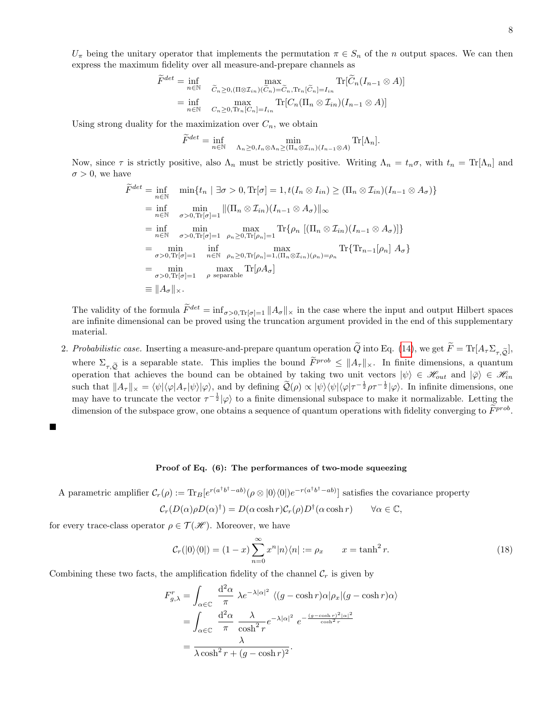$U_{\pi}$  being the unitary operator that implements the permutation  $\pi \in S_n$  of the n output spaces. We can then express the maximum fidelity over all measure-and-prepare channels as

$$
\widetilde{F}^{det} = \inf_{n \in \mathbb{N}} \max_{\widetilde{C}_n \ge 0, (\Pi \otimes \mathcal{I}_{in})(\widetilde{C}_n) = \widetilde{C}_n, \text{Tr}_n[\widetilde{C}_n] = I_{in}} \text{Tr}[\widetilde{C}_n(I_{n-1} \otimes A)]
$$
\n
$$
= \inf_{n \in \mathbb{N}} \max_{C_n \ge 0, \text{Tr}_n[C_n] = I_{in}} \text{Tr}[C_n(\Pi_n \otimes \mathcal{I}_{in})(I_{n-1} \otimes A)]
$$

Using strong duality for the maximization over  $C_n$ , we obtain

$$
\widetilde{F}^{det} = \inf_{n \in \mathbb{N}} \min_{\Lambda_n \geq 0, I_n \otimes \Lambda_n \geq (\Pi_n \otimes \mathcal{I}_{in})(I_{n-1} \otimes A)} \text{Tr}[\Lambda_n].
$$

Now, since  $\tau$  is strictly positive, also  $\Lambda_n$  must be strictly positive. Writing  $\Lambda_n = t_n \sigma$ , with  $t_n = \text{Tr}[\Lambda_n]$  and  $\sigma > 0$ , we have

$$
\widetilde{F}^{det} = \inf_{n \in \mathbb{N}} \min \{ t_n \mid \exists \sigma > 0, \text{Tr}[\sigma] = 1, t(I_n \otimes I_{in}) \ge (\Pi_n \otimes \mathcal{I}_{in})(I_{n-1} \otimes A_{\sigma}) \}
$$
\n
$$
= \inf_{n \in \mathbb{N}} \min_{\sigma > 0, \text{Tr}[\sigma] = 1} \| (\Pi_n \otimes \mathcal{I}_{in})(I_{n-1} \otimes A_{\sigma}) \|_{\infty}
$$
\n
$$
= \inf_{n \in \mathbb{N}} \min_{\sigma > 0, \text{Tr}[\sigma] = 1} \max_{\rho_n \ge 0, \text{Tr}[\rho_n] = 1} \text{Tr} \{ \rho_n \left[ (\Pi_n \otimes \mathcal{I}_{in})(I_{n-1} \otimes A_{\sigma}) \right] \}
$$
\n
$$
= \min_{\sigma > 0, \text{Tr}[\sigma] = 1} \inf_{n \in \mathbb{N}} \max_{\rho_n \ge 0, \text{Tr}[\rho_n] = 1, (\Pi_n \otimes \mathcal{I}_{in})(\rho_n) = \rho_n} \text{Tr} \{ \text{Tr}_{n-1}[\rho_n] \mid A_{\sigma} \}
$$
\n
$$
= \min_{\sigma > 0, \text{Tr}[\sigma] = 1} \max_{\rho \text{ separable}} \text{Tr}[\rho A_{\sigma}]
$$
\n
$$
\equiv ||A_{\sigma}||_{\times}.
$$

The validity of the formula  $\widetilde{F}^{det} = \inf_{\sigma > 0, \text{Tr}[\sigma] = 1} ||A_{\sigma}||_{\times}$  in the case where the input and output Hilbert spaces are infinite dimensional can be proved using the truncation argument provided in the end of this supplementary material.

2. Probabilistic case. Inserting a measure-and-prepare quantum operation  $\tilde{Q}$  into Eq. [\(14\)](#page-5-1), we get  $\tilde{F} = \text{Tr}[A_{\tau}\Sigma_{\tau,\tilde{Q}}],$ where  $\Sigma_{\tau\tilde{Q}}$  is a separable state. This implies the bound  $\tilde{F}^{prob} \leq ||A_{\tau}||_{\times}$ . In finite dimensions, a quantum operation that achieves the bound can be obtained by taking two unit vectors  $|\psi\rangle \in \mathscr{H}_{out}$  and  $|\bar{\varphi}\rangle \in \mathscr{H}_{in}$ such that  $||A_{\tau}||_{\times} = \langle \psi | \langle \varphi | A_{\tau} | \psi \rangle | \varphi \rangle$ , and by defining  $\widetilde{\mathcal{Q}}(\rho) \propto |\psi\rangle \langle \psi | \langle \varphi | \tau^{-\frac{1}{2}} \rho \tau^{-\frac{1}{2}} | \varphi \rangle$ . In infinite dimensions, one may have to truncate the vector  $\tau^{-\frac{1}{2}}|\varphi\rangle$  to a finite dimensional subspace to make it normalizable. Letting the dimension of the subspace grow, one obtains a sequence of quantum operations with fidelity converging to  $\tilde{F}^{prob}$ .

 $\blacksquare$ 

# Proof of Eq.  $(6)$ : The performances of two-mode squeezing

A parametric amplifier  $C_r(\rho) := \text{Tr}_B[e^{r(a^\dagger b^\dagger - ab)} (\rho \otimes |0\rangle\langle 0|)e^{-r(a^\dagger b^\dagger - ab)}]$  satisfies the covariance property

$$
\mathcal{C}_r(D(\alpha)\rho D(\alpha)^{\dagger}) = D(\alpha \cosh r)\mathcal{C}_r(\rho)D^{\dagger}(\alpha \cosh r) \qquad \forall \alpha \in \mathbb{C},
$$

for every trace-class operator  $\rho \in \mathcal{T}(\mathcal{H})$ . Moreover, we have

<span id="page-7-0"></span>
$$
\mathcal{C}_r(|0\rangle\langle 0|) = (1-x)\sum_{n=0}^{\infty} x^n |n\rangle\langle n| := \rho_x \qquad x = \tanh^2 r. \tag{18}
$$

Combining these two facts, the amplification fidelity of the channel  $\mathcal{C}_r$  is given by

$$
F_{g,\lambda}^{r} = \int_{\alpha \in \mathbb{C}} \frac{d^{2} \alpha}{\pi} \lambda e^{-\lambda |\alpha|^{2}} \langle (g - \cosh r) \alpha | \rho_{x} | (g - \cosh r) \alpha \rangle
$$
  
= 
$$
\int_{\alpha \in \mathbb{C}} \frac{d^{2} \alpha}{\pi} \frac{\lambda}{\cosh^{2} r} e^{-\lambda |\alpha|^{2}} e^{-\frac{(g - \cosh r)^{2} |\alpha|^{2}}{\cosh^{2} r}}
$$
  
= 
$$
\frac{\lambda}{\lambda \cosh^{2} r + (g - \cosh r)^{2}}.
$$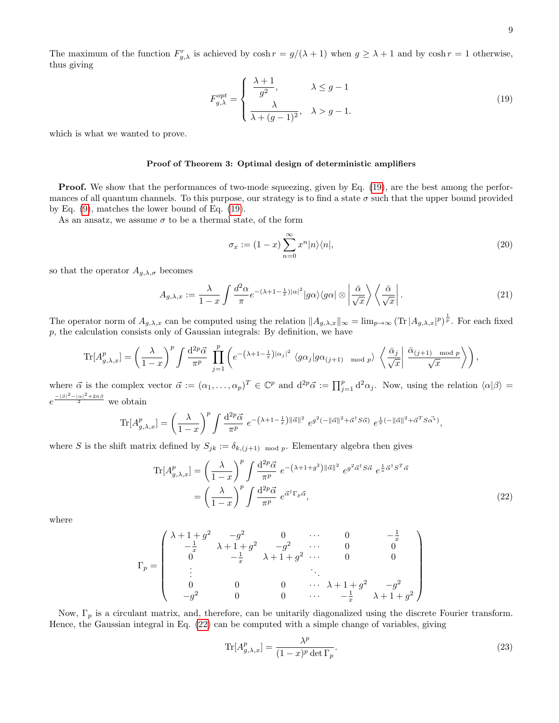The maximum of the function  $F_{g,\lambda}^r$  is achieved by  $\cosh r = g/(\lambda + 1)$  when  $g \ge \lambda + 1$  and by  $\cosh r = 1$  otherwise, thus giving

<span id="page-8-1"></span>
$$
F_{g,\lambda}^{opt} = \begin{cases} \frac{\lambda+1}{g^2}, & \lambda \le g-1\\ \lambda & \lambda > g-1. \end{cases}
$$
 (19)

which is what we wanted to prove.

### Proof of Theorem 3: Optimal design of deterministic amplifiers

**Proof.** We show that the performances of two-mode squeezing, given by Eq. [\(19\)](#page-8-1), are the best among the performances of all quantum channels. To this purpose, our strategy is to find a state  $\sigma$  such that the upper bound provided by Eq. [\(9\)](#page-4-23), matches the lower bound of Eq. [\(19\)](#page-8-1).

As an ansatz, we assume  $\sigma$  to be a thermal state, of the form

$$
\sigma_x := (1 - x) \sum_{n=0}^{\infty} x^n |n\rangle\langle n|,\tag{20}
$$

so that the operator  $A_{g,\lambda,\sigma}$  becomes

$$
A_{g,\lambda,x} := \frac{\lambda}{1-x} \int \frac{d^2\alpha}{\pi} e^{-(\lambda+1-\frac{1}{x})|\alpha|^2} |g\alpha\rangle\langle g\alpha| \otimes \left| \frac{\bar{\alpha}}{\sqrt{x}} \right\rangle \left\langle \frac{\bar{\alpha}}{\sqrt{x}} \right|.
$$
 (21)

The operator norm of  $A_{g,\lambda,x}$  can be computed using the relation  $||A_{g,\lambda,x}||_{\infty} = \lim_{p\to\infty} (\text{Tr}\, |A_{g,\lambda,x}|^p)^{\frac{1}{p}}$ . For each fixed p, the calculation consists only of Gaussian integrals: By definition, we have

$$
\text{Tr}[A_{g,\lambda,x}^p] = \left(\frac{\lambda}{1-x}\right)^p \int \frac{\mathrm{d}^{2p}\vec{\alpha}}{\pi^p} \prod_{j=1}^p \left(e^{-\left(\lambda+1-\frac{1}{x}\right)|\alpha_j|^2} \langle g\alpha_j|g\alpha_{(j+1) \mod p}\rangle \left\langle \frac{\bar{\alpha}_j}{\sqrt{x}} \middle| \frac{\bar{\alpha}_{(j+1) \mod p}}{\sqrt{x}} \right\rangle \right),
$$

where  $\vec{\alpha}$  is the complex vector  $\vec{\alpha} := (\alpha_1, \ldots, \alpha_p)^T \in \mathbb{C}^p$  and  $d^{2p}\vec{\alpha} := \prod_{j=1}^p d^2\alpha_j$ . Now, using the relation  $\langle \alpha | \beta \rangle =$  $e^{\frac{-|\beta|^2-|\alpha|^2+2\bar{\alpha}\beta}{2}}$  we obtain

$$
\text{Tr}[A_{g,\lambda,x}^p] = \left(\frac{\lambda}{1-x}\right)^p \int \frac{\mathrm{d}^{2p}\vec{\alpha}}{\pi^p} \ e^{-\left(\lambda+1-\frac{1}{x}\right)\|\vec{\alpha}\|^2} \ e^{g^2(-\|\vec{\alpha}\|^2+\vec{\alpha}^\dagger S \vec{\alpha})} \ e^{\frac{1}{x}(-\|\vec{\alpha}\|^2+\vec{\alpha}^T S \vec{\alpha}^\ast)},
$$

where S is the shift matrix defined by  $S_{jk} := \delta_{k,(j+1) \mod p}$ . Elementary algebra then gives

$$
\text{Tr}[A_{g,\lambda,x}^p] = \left(\frac{\lambda}{1-x}\right)^p \int \frac{\mathrm{d}^{2p}\vec{\alpha}}{\pi^p} e^{-\left(\lambda+1+g^2\right) \|\vec{\alpha}\|^2} e^{g^2 \vec{\alpha}^\dagger S \vec{\alpha}} e^{\frac{1}{x} \vec{\alpha}^\dagger S^T \vec{\alpha}} = \left(\frac{\lambda}{1-x}\right)^p \int \frac{\mathrm{d}^{2p}\vec{\alpha}}{\pi^p} e^{\vec{\alpha}^\dagger \Gamma_p \vec{\alpha}},
$$
\n(22)

where

$$
\Gamma_p = \begin{pmatrix}\n\lambda + 1 + g^2 & -g^2 & 0 & \cdots & 0 & -\frac{1}{x} \\
-\frac{1}{x} & \lambda + 1 + g^2 & -g^2 & \cdots & 0 & 0 \\
0 & -\frac{1}{x} & \lambda + 1 + g^2 & \cdots & 0 & 0 \\
\vdots & & & \ddots & & \\
0 & 0 & 0 & \cdots & \lambda + 1 + g^2 & -g^2 \\
-g^2 & 0 & 0 & \cdots & -\frac{1}{x} & \lambda + 1 + g^2\n\end{pmatrix}
$$

Now,  $\Gamma_p$  is a circulant matrix, and, therefore, can be unitarily diagonalized using the discrete Fourier transform. Hence, the Gaussian integral in Eq. [\(22\)](#page-8-2) can be computed with a simple change of variables, giving

<span id="page-8-2"></span><span id="page-8-0"></span>
$$
\text{Tr}[A_{g,\lambda,x}^p] = \frac{\lambda^p}{(1-x)^p \det \Gamma_p}.
$$
\n(23)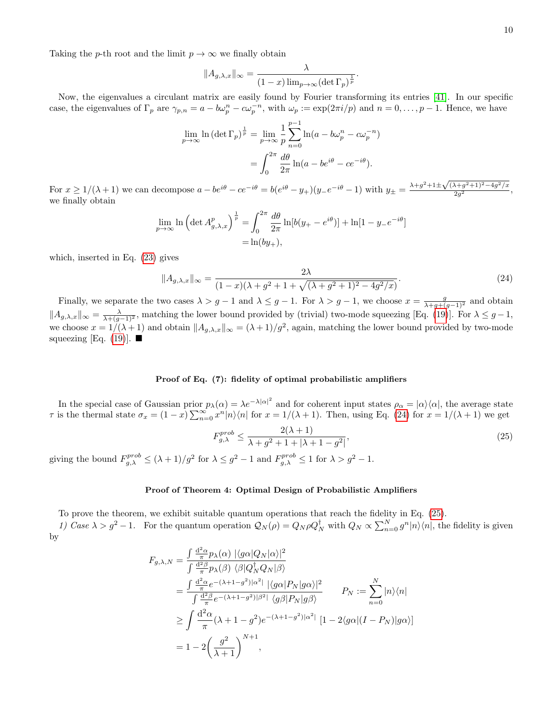Taking the p-th root and the limit  $p \to \infty$  we finally obtain

$$
||A_{g,\lambda,x}||_{\infty} = \frac{\lambda}{(1-x)\lim_{p\to\infty}(\det\Gamma_p)^{\frac{1}{p}}}.
$$

Now, the eigenvalues a circulant matrix are easily found by Fourier transforming its entries [\[41\]](#page-4-25). In our specific case, the eigenvalues of  $\Gamma_p$  are  $\gamma_{p,n} = a - b\omega_p^n - c\omega_p^{-n}$ , with  $\omega_p := \exp(2\pi i/p)$  and  $n = 0, \ldots, p-1$ . Hence, we have

$$
\lim_{p \to \infty} \ln \left( \det \Gamma_p \right)^{\frac{1}{p}} = \lim_{p \to \infty} \frac{1}{p} \sum_{n=0}^{p-1} \ln(a - b\omega_p^n - c\omega_p^{-n})
$$

$$
= \int_0^{2\pi} \frac{d\theta}{2\pi} \ln(a - be^{i\theta} - ce^{-i\theta}).
$$

For  $x \geq 1/(\lambda+1)$  we can decompose  $a - be^{i\theta} - ce^{-i\theta} = b(e^{i\theta} - y_+)(y_-e^{-i\theta} - 1)$  with  $y_{\pm} = \frac{\lambda + g^2 + 1 \pm \sqrt{(\lambda + g^2 + 1)^2 - 4g^2/x}}{2g^2}$  $\frac{x+y+1}{2g^2}$ , we finally obtain

$$
\lim_{p \to \infty} \ln \left( \det A^p_{g,\lambda,x} \right)^{\frac{1}{p}} = \int_0^{2\pi} \frac{d\theta}{2\pi} \ln[b(y_+ - e^{i\theta})] + \ln[1 - y_- e^{-i\theta}]
$$

$$
= \ln(by_+),
$$

which, inserted in Eq. [\(23\)](#page-8-0) gives

<span id="page-9-1"></span>
$$
||A_{g,\lambda,x}||_{\infty} = \frac{2\lambda}{(1-x)(\lambda+g^2+1+\sqrt{(\lambda+g^2+1)^2-4g^2/x})}.
$$
\n(24)

Finally, we separate the two cases  $\lambda > g - 1$  and  $\lambda \leq g - 1$ . For  $\lambda > g - 1$ , we choose  $x = \frac{g}{\lambda + g + (g - 1)^2}$  and obtain  $||A_{g,\lambda,x}||_{\infty} = \frac{\lambda}{\lambda + (g-1)^2}$ , matching the lower bound provided by (trivial) two-mode squeezing [Eq. [\(19\)](#page-8-1)]. For  $\lambda \leq g-1$ , we choose  $x = 1/(\lambda + 1)$  and obtain  $||A_{g,\lambda,x}||_{\infty} = (\lambda + 1)/g^2$ , again, matching the lower bound provided by two-mode squeezing [Eq. [\(19\)](#page-8-1)].  $\blacksquare$ 

# Proof of Eq. (7): fidelity of optimal probabilistic amplifiers

In the special case of Gaussian prior  $p_{\lambda}(\alpha) = \lambda e^{-\lambda |\alpha|^2}$  and for coherent input states  $\rho_{\alpha} = |\alpha\rangle\langle\alpha|$ , the average state  $\tau$  is the thermal state  $\sigma_x = (1-x)\sum_{n=0}^{\infty} x^n |n\rangle\langle n|$  for  $x = 1/(\lambda+1)$ . Then, using Eq. [\(24\)](#page-9-1) for  $x = 1/(\lambda+1)$  we get

<span id="page-9-0"></span>
$$
F_{g,\lambda}^{prob} \le \frac{2(\lambda + 1)}{\lambda + g^2 + 1 + |\lambda + 1 - g^2|},\tag{25}
$$

giving the bound  $F_{g,\lambda}^{prob} \leq (\lambda+1)/g^2$  for  $\lambda \leq g^2-1$  and  $F_{g,\lambda}^{prob} \leq 1$  for  $\lambda > g^2-1$ .

### Proof of Theorem 4: Optimal Design of Probabilistic Amplifiers

To prove the theorem, we exhibit suitable quantum operations that reach the fidelity in Eq. [\(25\)](#page-9-0).

1) Case  $\lambda > g^2 - 1$ . For the quantum operation  $\mathcal{Q}_N(\rho) = Q_N \rho Q_N^{\dagger}$  with  $Q_N \propto \sum_{n=0}^N g^n |n\rangle\langle n|$ , the fidelity is given by

$$
F_{g,\lambda,N} = \frac{\int \frac{\mathrm{d}^2 \alpha}{\pi} p_\lambda(\alpha) \ |\langle g \alpha | Q_N | \alpha \rangle|^2}{\int \frac{\mathrm{d}^2 \beta}{\pi} p_\lambda(\beta) \ \langle \beta | Q_N^\dagger Q_N | \beta \rangle}
$$
  
\n
$$
= \frac{\int \frac{\mathrm{d}^2 \alpha}{\pi} e^{-(\lambda + 1 - g^2) |\alpha^2|} \ |\langle g \alpha | P_N | g \alpha \rangle|^2}{\int \frac{\mathrm{d}^2 \beta}{\pi} e^{-(\lambda + 1 - g^2) |\beta^2|} \ \langle g \beta | P_N | g \beta \rangle} \qquad P_N := \sum_{n=0}^N |n\rangle \langle n|
$$
  
\n
$$
\geq \int \frac{\mathrm{d}^2 \alpha}{\pi} (\lambda + 1 - g^2) e^{-(\lambda + 1 - g^2) |\alpha^2|} \ [1 - 2 \langle g \alpha | (I - P_N) | g \alpha \rangle]
$$
  
\n
$$
= 1 - 2 \left( \frac{g^2}{\lambda + 1} \right)^{N+1},
$$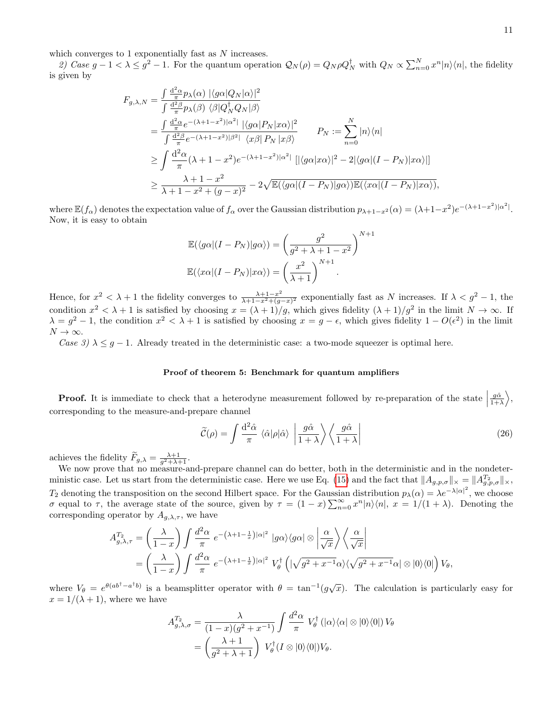which converges to 1 exponentially fast as N increases.

2) Case  $g-1 < \lambda \leq g^2-1$ . For the quantum operation  $\mathcal{Q}_N(\rho) = Q_N \rho Q_N^{\dagger}$  with  $Q_N \propto \sum_{n=0}^N x^n |n\rangle\langle n|$ , the fidelity is given by

$$
F_{g,\lambda,N} = \frac{\int \frac{d^2 \alpha}{\pi} p_\lambda(\alpha) |\langle g \alpha | Q_N | \alpha \rangle|^2}{\int \frac{d^2 \beta}{\pi} p_\lambda(\beta) |\langle \beta | Q_N^{\dagger} Q_N | \beta \rangle}
$$
  
\n
$$
= \frac{\int \frac{d^2 \alpha}{\pi} e^{-(\lambda + 1 - x^2) |\alpha^2|} |\langle g \alpha | P_N | x \alpha \rangle|^2}{\int \frac{d^2 \beta}{\pi} e^{-(\lambda + 1 - x^2) |\beta^2|} |\langle x \beta | P_N | x \beta \rangle} P_N := \sum_{n=0}^N |n \rangle \langle n|
$$
  
\n
$$
\geq \int \frac{d^2 \alpha}{\pi} (\lambda + 1 - x^2) e^{-(\lambda + 1 - x^2) |\alpha^2|} [|\langle g \alpha | x \alpha \rangle|^2 - 2 |\langle g \alpha | (I - P_N) | x \alpha \rangle|]
$$
  
\n
$$
\geq \frac{\lambda + 1 - x^2}{\lambda + 1 - x^2 + (g - x)^2} - 2 \sqrt{\mathbb{E}(\langle g \alpha | (I - P_N) | g \alpha \rangle) \mathbb{E}(\langle x \alpha | (I - P_N) | x \alpha \rangle)},
$$

where  $\mathbb{E}(f_{\alpha})$  denotes the expectation value of  $f_{\alpha}$  over the Gaussian distribution  $p_{\lambda+1-x^2}(\alpha) = (\lambda+1-x^2)e^{-(\lambda+1-x^2)|\alpha^2|}$ . Now, it is easy to obtain

$$
\mathbb{E}(\langle g\alpha|(I - P_N)|g\alpha\rangle) = \left(\frac{g^2}{g^2 + \lambda + 1 - x^2}\right)^{N+1}
$$

$$
\mathbb{E}(\langle x\alpha|(I - P_N)|x\alpha\rangle) = \left(\frac{x^2}{\lambda + 1}\right)^{N+1}.
$$

Hence, for  $x^2 < \lambda + 1$  the fidelity converges to  $\frac{\lambda + 1 - x^2}{\lambda + 1 - x^2 + (a)}$  $\frac{\lambda+1-x^2}{\lambda+1-x^2+(g-x)^2}$  exponentially fast as N increases. If  $\lambda < g^2-1$ , the condition  $x^2 < \lambda + 1$  is satisfied by choosing  $x = (\lambda + 1)/g$ , which gives fidelity  $(\lambda + 1)/g^2$  in the limit  $N \to \infty$ . If  $\lambda = g^2 - 1$ , the condition  $x^2 < \lambda + 1$  is satisfied by choosing  $x = g - \epsilon$ , which gives fidelity  $1 - O(\epsilon^2)$  in the limit  $N\rightarrow\infty.$ 

Case 3)  $\lambda \leq g - 1$ . Already treated in the deterministic case: a two-mode squeezer is optimal here.

## Proof of theorem 5: Benchmark for quantum amplifiers

**Proof.** It is immediate to check that a heterodyne measurement followed by re-preparation of the state  $\begin{bmatrix} 1 & 1 \\ 1 & 1 \end{bmatrix}$  $rac{g\hat{\alpha}}{1+\lambda}\bigg\rangle,$ corresponding to the measure-and-prepare channel

<span id="page-10-0"></span>
$$
\widetilde{\mathcal{C}}(\rho) = \int \frac{\mathrm{d}^2 \hat{\alpha}}{\pi} \langle \hat{\alpha} | \rho | \hat{\alpha} \rangle \left| \frac{g \hat{\alpha}}{1 + \lambda} \rangle \langle \frac{g \hat{\alpha}}{1 + \lambda} | \right. \tag{26}
$$

achieves the fidelity  $F_{g,\lambda} = \frac{\lambda+1}{g^2 + \lambda+1}$ .

We now prove that no measure-and-prepare channel can do better, both in the deterministic and in the nondeter-ministic case. Let us start from the deterministic case. Here we use Eq. [\(15\)](#page-6-0) and the fact that  $||A_{g,p,\sigma}||_{\times} = ||A_{g,p,\sigma}^{T_2}||_{\times}$ , T<sub>2</sub> denoting the transposition on the second Hilbert space. For the Gaussian distribution  $p_{\lambda}(\alpha) = \lambda e^{-\lambda |\alpha|^2}$ , we choose σ equal to τ, the average state of the source, given by  $\tau = (1-x)\sum_{n=0}^{\infty} x^n |n\rangle\langle n|, x = 1/(1+\lambda)$ . Denoting the corresponding operator by  $A_{g,\lambda,\tau}$ , we have

$$
A_{g,\lambda,\tau}^{T_2} = \left(\frac{\lambda}{1-x}\right) \int \frac{d^2\alpha}{\pi} e^{-\left(\lambda+1-\frac{1}{x}\right)|\alpha|^2} |g\alpha\rangle\langle g\alpha| \otimes \left|\frac{\alpha}{\sqrt{x}}\right\rangle\left\langle\frac{\alpha}{\sqrt{x}}\right|
$$
  
= 
$$
\left(\frac{\lambda}{1-x}\right) \int \frac{d^2\alpha}{\pi} e^{-\left(\lambda+1-\frac{1}{x}\right)|\alpha|^2} V_\theta^\dagger \left(|\sqrt{g^2+x^{-1}}\alpha\rangle\langle\sqrt{g^2+x^{-1}}\alpha|\otimes|0\rangle\langle0|\right) V_\theta,
$$

where  $V_{\theta} = e^{\theta(ab^{\dagger}-a^{\dagger}b)}$  is a beamsplitter operator with  $\theta = \tan^{-1}(g\sqrt{x})$ . The calculation is particularly easy for  $x = 1/(\lambda + 1)$ , where we have

$$
A_{g,\lambda,\sigma}^{T_2} = \frac{\lambda}{(1-x)(g^2+x^{-1})} \int \frac{d^2\alpha}{\pi} V_{\theta}^{\dagger} (\vert \alpha \rangle \langle \alpha \vert \otimes \vert 0 \rangle \langle 0 \vert) V_{\theta}
$$
  
= 
$$
\left(\frac{\lambda+1}{g^2+\lambda+1}\right) V_{\theta}^{\dagger}(I \otimes \vert 0 \rangle \langle 0 \vert) V_{\theta}.
$$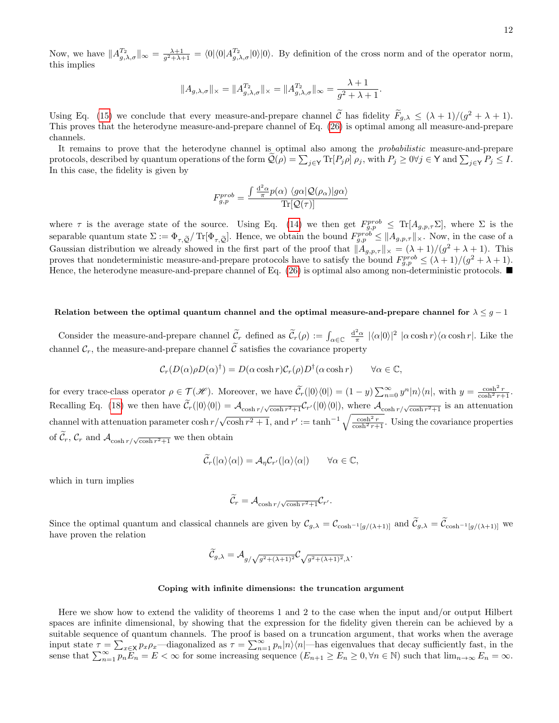Now, we have  $||A_{g,\lambda,\sigma}^{T_2}||_{\infty} = \frac{\lambda+1}{g^2+\lambda+1} = \langle 0|\langle 0|A_{g,\lambda,\sigma}^{T_2}|0\rangle|0\rangle$ . By definition of the cross norm and of the operator norm, this implies

$$
||A_{g,\lambda,\sigma}||_{\times} = ||A_{g,\lambda,\sigma}^{T_2}||_{\times} = ||A_{g,\lambda,\sigma}^{T_2}||_{\infty} = \frac{\lambda+1}{g^2 + \lambda + 1}.
$$

Using Eq. [\(15\)](#page-6-0) we conclude that every measure-and-prepare channel  $\tilde{C}$  has fidelity  $\tilde{F}_{g,\lambda} \leq (\lambda + 1)/(g^2 + \lambda + 1)$ . This proves that the heterodyne measure-and-prepare channel of Eq. [\(26\)](#page-10-0) is optimal among all measure-and-prepare channels.

It remains to prove that the heterodyne channel is optimal also among the *probabilistic* measure-and-prepare protocols, described by quantum operations of the form  $\mathcal{Q}(\rho) = \sum_{j \in \mathsf{Y}} \text{Tr}[P_j \rho] \rho_j$ , with  $P_j \geq 0 \forall j \in \mathsf{Y}$  and  $\sum_{j \in \mathsf{Y}} P_j \leq I$ . In this case, the fidelity is given by

$$
F_{g,p}^{prob} = \frac{\int \frac{\mathrm{d}^2 \alpha}{\pi} p(\alpha) \langle g\alpha | \mathcal{Q}(\rho_\alpha) | g\alpha \rangle}{\mathrm{Tr}[\mathcal{Q}(\tau)]}
$$

where  $\tau$  is the average state of the source. Using Eq. [\(14\)](#page-5-1) we then get  $F_{g,p}^{prob} \leq \text{Tr}[A_{g,p,\tau}\Sigma]$ , where  $\Sigma$  is the separable quantum state  $\Sigma := \Phi_{\tau, \widetilde{Q}} / \text{Tr}[\Phi_{\tau, \widetilde{Q}}]$ . Hence, we obtain the bound  $F_{g,p}^{prob} \le ||A_{g,p,\tau}||_{\times}$ . Now, in the case of a Gaussian distribution we already showed in the first part of the proof that  $||A_{g,p,\tau}||_{\times} = (\lambda + 1)/(g^2 + \lambda + 1)$ . This proves that nondeterministic measure-and-prepare protocols have to satisfy the bound  $F_{g,p}^{prob} \leq (\lambda + 1)/(g^2 + \lambda + 1)$ . Hence, the heterodyne measure-and-prepare channel of Eq.  $(26)$  is optimal also among non-deterministic protocols.

### Relation between the optimal quantum channel and the optimal measure-and-prepare channel for  $\lambda \leq g-1$

Consider the measure-and-prepare channel  $\widetilde{\mathcal{C}}_r$  defined as  $\widetilde{\mathcal{C}}_r(\rho) := \int_{\alpha \in \mathbb{C}} \frac{d^2 \alpha}{\pi} |\langle \alpha | 0 \rangle|^2 |\alpha \cosh r \rangle \langle \alpha \cosh r |$ . Like the channel  $\mathcal{C}_r$ , the measure-and-prepare channel  $\tilde{\mathcal{C}}$  satisfies the covariance property

$$
\mathcal{C}_r(D(\alpha)\rho D(\alpha)^{\dagger}) = D(\alpha \cosh r)\mathcal{C}_r(\rho)D^{\dagger}(\alpha \cosh r) \qquad \forall \alpha \in \mathbb{C},
$$

for every trace-class operator  $\rho \in \mathcal{T}(\mathcal{H})$ . Moreover, we have  $\widetilde{\mathcal{C}}_r(|0\rangle\langle0|) = (1-y)\sum_{n=0}^{\infty} y^n |n\rangle\langle n|$ , with  $y = \frac{\cosh^2 r}{\cosh^2 r+1}$ . Recalling Eq. [\(18\)](#page-7-0) we then have  $C_r(|0\rangle\langle0|) = \mathcal{A}_{\cosh r/\sqrt{\cosh r^2+1}} C_{r'}(|0\rangle\langle0|)$ , where  $\mathcal{A}_{\cosh r/\sqrt{\cosh r^2+1}}$  is an attenuation channel with attenuation parameter  $\cosh r/\sqrt{\cosh r^2 + 1}$ , and  $r' := \tanh^{-1} \sqrt{\frac{\cosh^2 r}{\cosh^2 r + 1}}$ . Using the covariance properties of  $\mathcal{C}_r$ ,  $\mathcal{C}_r$  and  $\mathcal{A}_{\cosh r/\sqrt{\cosh r^2+1}}$  we then obtain

$$
\widetilde{\mathcal{C}}_r(|\alpha\rangle\langle\alpha|)=\mathcal{A}_\eta\mathcal{C}_{r'}(|\alpha\rangle\langle\alpha|)\qquad\forall\alpha\in\mathbb{C},
$$

which in turn implies

$$
\widetilde{\mathcal{C}}_r = \mathcal{A}_{\cosh r/\sqrt{\cosh r^2+1}} \mathcal{C}_{r'}.
$$

Since the optimal quantum and classical channels are given by  $\mathcal{C}_{g,\lambda} = \mathcal{C}_{\cosh^{-1}[g/(\lambda+1)]}$  and  $\mathcal{C}_{g,\lambda} = \mathcal{C}_{\cosh^{-1}[g/(\lambda+1)]}$  we have proven the relation

$$
\widetilde{\mathcal{C}}_{g,\lambda} = \mathcal{A}_{g/\sqrt{g^2 + (\lambda+1)^2}} \mathcal{C}_{\sqrt{g^2 + (\lambda+1)^2}, \lambda}.
$$

### Coping with infinite dimensions: the truncation argument

Here we show how to extend the validity of theorems 1 and 2 to the case when the input and/or output Hilbert spaces are infinite dimensional, by showing that the expression for the fidelity given therein can be achieved by a suitable sequence of quantum channels. The proof is based on a truncation argument, that works when the average input state  $\tau = \sum_{x \in \mathsf{X}} p_x \rho_x$ —diagonalized as  $\tau = \sum_{n=1}^{\infty} p_n |n\rangle\langle n|$ —has eigenvalues that decay sufficiently fast, in the sense that  $\sum_{n=1}^{\infty} p_n E_n = E < \infty$  for some increasing sequence  $(E_{n+1} \ge E_n \ge 0, \forall n \in \mathbb{N})$  such that  $\lim_{n\to\infty} E_n = \infty$ .